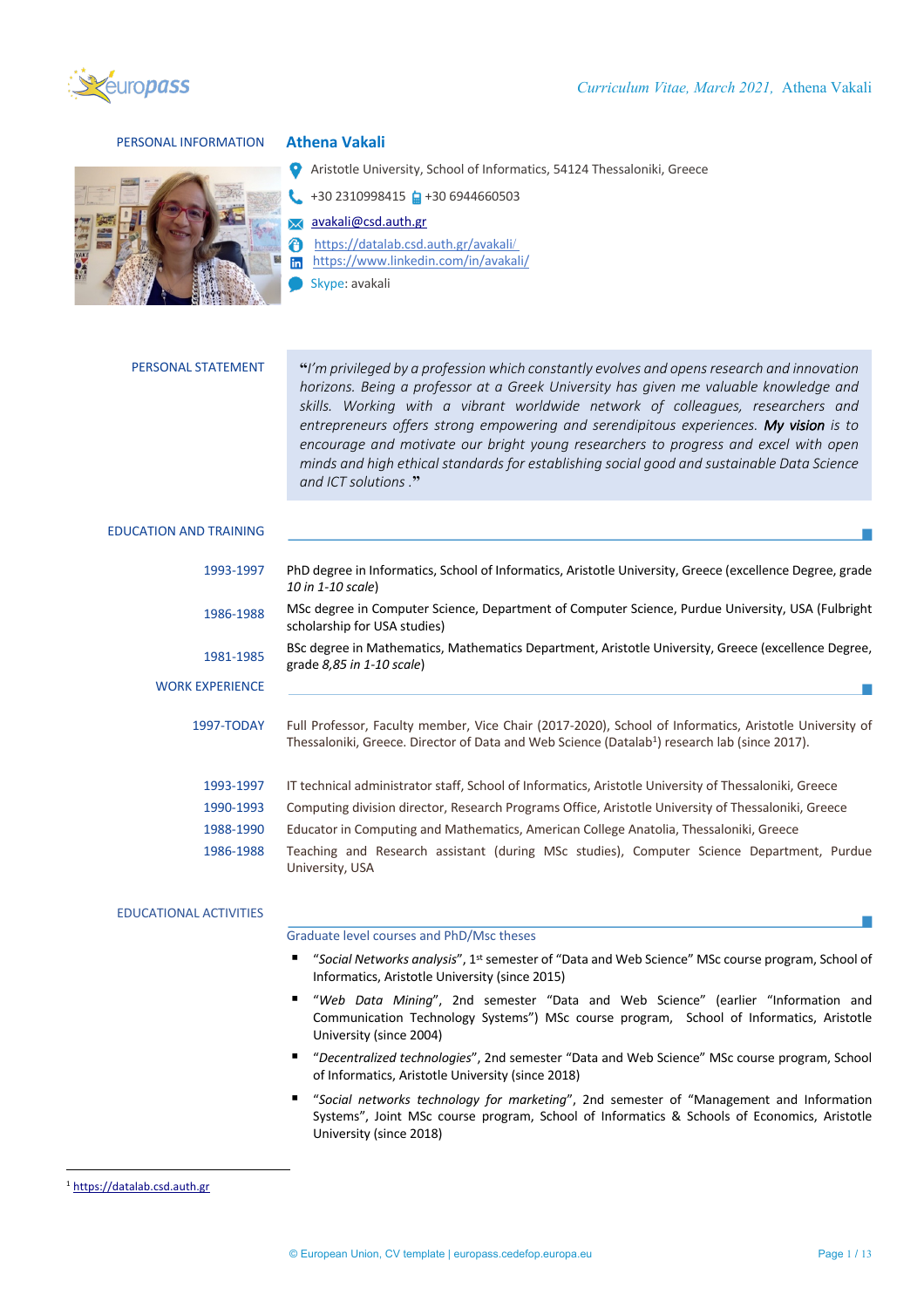

## PERSONAL INFORMATION **Athena Vakali**



- Aristotle University, School of Informatics, 54124 Thessaloniki, Greece
	- +30 2310998415 +30 6944660503
	- avakali@csd.auth.gr
	- https://datalab.csd.auth.gr/avakali/
- https://www.linkedin.com/in/avakali/
	- Skype: avakali

| <b>PERSONAL STATEMENT</b> |  |
|---------------------------|--|
|---------------------------|--|

PERSONAL STATEMENT **"***I'm privileged by a profession which constantly evolves and opens research and innovation horizons. Being a professor at a Greek University has given me valuable knowledge and skills. Working with a vibrant worldwide network of colleagues, researchers and entrepreneurs offers strong empowering and serendipitous experiences. My vision is to encourage and motivate our bright young researchers to progress and excel with open minds and high ethical standards for establishing social good and sustainable Data Science and ICT solutions .***"**

### EDUCATION AND TRAINING

| 1993-1997              | PhD degree in Informatics, School of Informatics, Aristotle University, Greece (excellence Degree, grade<br>10 in 1-10 scale)                                                                                       |
|------------------------|---------------------------------------------------------------------------------------------------------------------------------------------------------------------------------------------------------------------|
| 1986-1988              | MSc degree in Computer Science, Department of Computer Science, Purdue University, USA (Fulbright<br>scholarship for USA studies)                                                                                   |
| 1981-1985              | BSc degree in Mathematics, Mathematics Department, Aristotle University, Greece (excellence Degree,<br>grade $8,85$ in 1-10 scale)                                                                                  |
| <b>WORK EXPERIENCE</b> |                                                                                                                                                                                                                     |
| 1997-TODAY             | Full Professor, Faculty member, Vice Chair (2017-2020), School of Informatics, Aristotle University of<br>Thessaloniki, Greece. Director of Data and Web Science (Datalab <sup>1</sup> ) research lab (since 2017). |
| 1993-1997              | IT technical administrator staff, School of Informatics, Aristotle University of Thessaloniki, Greece                                                                                                               |
| 1990-1993              | Computing division director, Research Programs Office, Aristotle University of Thessaloniki, Greece                                                                                                                 |
| 1988-1990              | Educator in Computing and Mathematics, American College Anatolia, Thessaloniki, Greece                                                                                                                              |
| 1986-1988              | Teaching and Research assistant (during MSc studies), Computer Science Department, Purdue<br>University, USA                                                                                                        |

# EDUCATIONAL ACTIVITIES

Graduate level courses and PhD/Msc theses

- "Social Networks analysis", 1<sup>st</sup> semester of "Data and Web Science" MSc course program, School of Informatics, Aristotle University (since 2015)
- § "*Web Data Mining*", 2nd semester "Data and Web Science" (earlier "Information and Communication Technology Systems") MSc course program, School of Informatics, Aristotle University (since 2004)
- § "*Decentralized technologies*", 2nd semester "Data and Web Science" MSc course program, School of Informatics, Aristotle University (since 2018)
- § "*Social networks technology for marketing*", 2nd semester of "Management and Information Systems", Joint MSc course program, School of Informatics & Schools of Economics, Aristotle University (since 2018)

<sup>1</sup> https://datalab.csd.auth.gr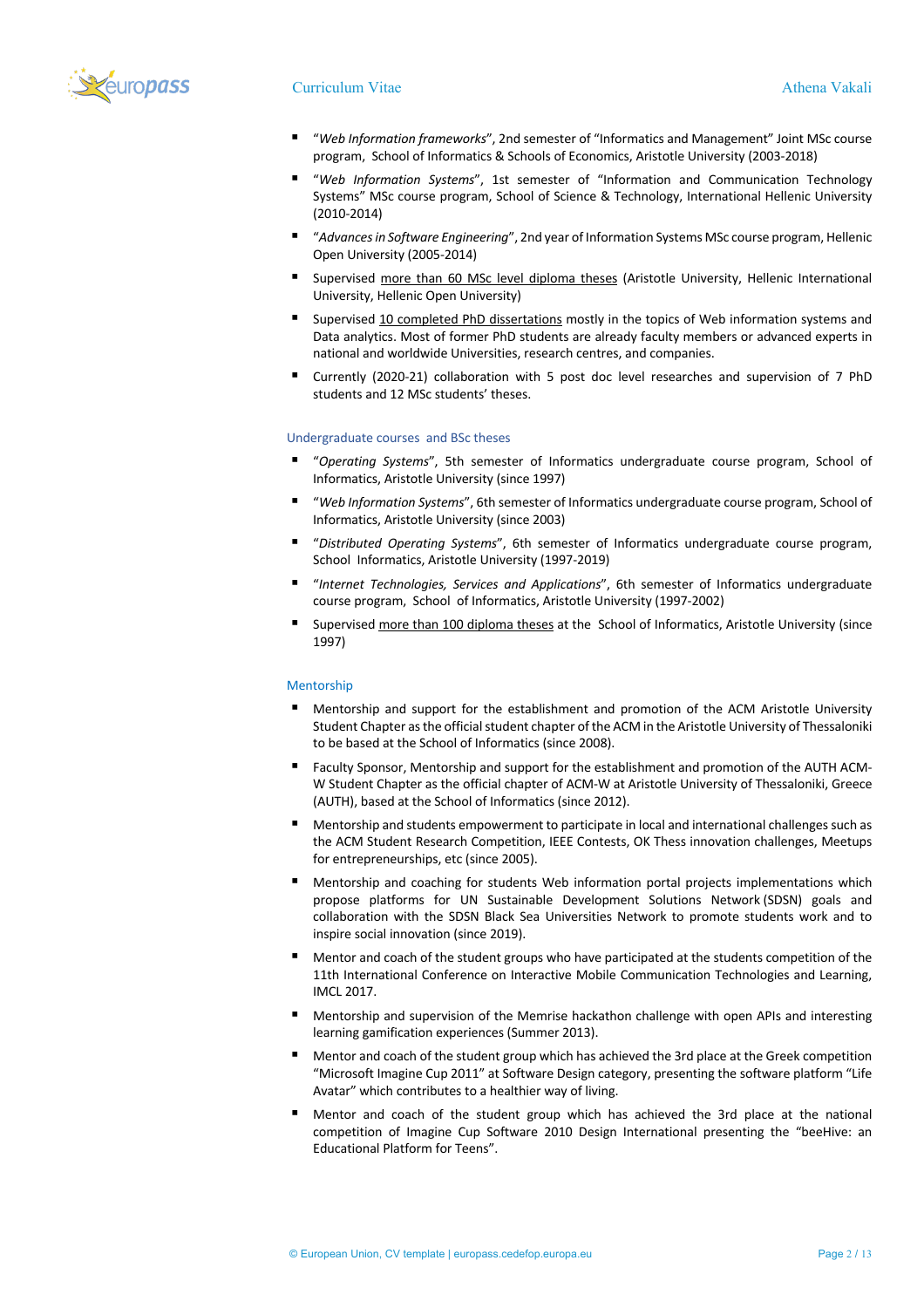

## Curriculum Vitae Athena Vakali

- *"Web Information frameworks"*, 2nd semester of "Informatics and Management" Joint MSc course program, School of Informatics & Schools of Economics, Aristotle University (2003-2018)
- *"Web Information Systems"*, 1st semester of "Information and Communication Technology Systems" MSc course program, School of Science & Technology, International Hellenic University (2010-2014)
- § "*Advances in Software Engineering*", 2nd year of Information Systems MSc course program, Hellenic Open University (2005-2014)
- Supervised more than 60 MSc level diploma theses (Aristotle University, Hellenic International University, Hellenic Open University)
- § Supervised 10 completed PhD dissertations mostly in the topics of Web information systems and Data analytics. Most of former PhD students are already faculty members or advanced experts in national and worldwide Universities, research centres, and companies.
- § Currently (2020-21) collaboration with 5 post doc level researches and supervision of 7 PhD students and 12 MSc students' theses.

## Undergraduate courses and BSc theses

- § "*Operating Systems*", 5th semester of Informatics undergraduate course program, School of Informatics, Aristotle University (since 1997)
- § "*Web Information Systems*", 6th semester of Informatics undergraduate course program, School of Informatics, Aristotle University (since 2003)
- § "*Distributed Operating Systems*", 6th semester of Informatics undergraduate course program, School Informatics, Aristotle University (1997-2019)
- § "*Internet Technologies, Services and Applications*", 6th semester of Informatics undergraduate course program, School of Informatics, Aristotle University (1997-2002)
- Supervised more than 100 diploma theses at the School of Informatics, Aristotle University (since 1997)

## Mentorship

- Mentorship and support for the establishment and promotion of the ACM Aristotle University Student Chapter as the official student chapter of the ACM in the Aristotle University of Thessaloniki to be based at the School of Informatics (since 2008).
- § Faculty Sponsor, Mentorship and support for the establishment and promotion of the AUTH ACM-W Student Chapter as the official chapter of ACM-W at Aristotle University of Thessaloniki, Greece (AUTH), based at the School of Informatics (since 2012).
- Mentorship and students empowerment to participate in local and international challenges such as the ACM Student Research Competition, IEEE Contests, OK Thess innovation challenges, Meetups for entrepreneurships, etc (since 2005).
- § Mentorship and coaching for students Web information portal projects implementations which propose platforms for UN Sustainable Development Solutions Network (SDSN) goals and collaboration with the SDSN Black Sea Universities Network to promote students work and to inspire social innovation (since 2019).
- Mentor and coach of the student groups who have participated at the students competition of the 11th International Conference on Interactive Mobile Communication Technologies and Learning, IMCL 2017.
- Mentorship and supervision of the Memrise hackathon challenge with open APIs and interesting learning gamification experiences (Summer 2013).
- Mentor and coach of the student group which has achieved the 3rd place at the Greek competition "Microsoft Imagine Cup 2011" at Software Design category, presenting the software platform "Life Avatar" which contributes to a healthier way of living.
- Mentor and coach of the student group which has achieved the 3rd place at the national competition of Imagine Cup Software 2010 Design International presenting the "beeHive: an Educational Platform for Teens".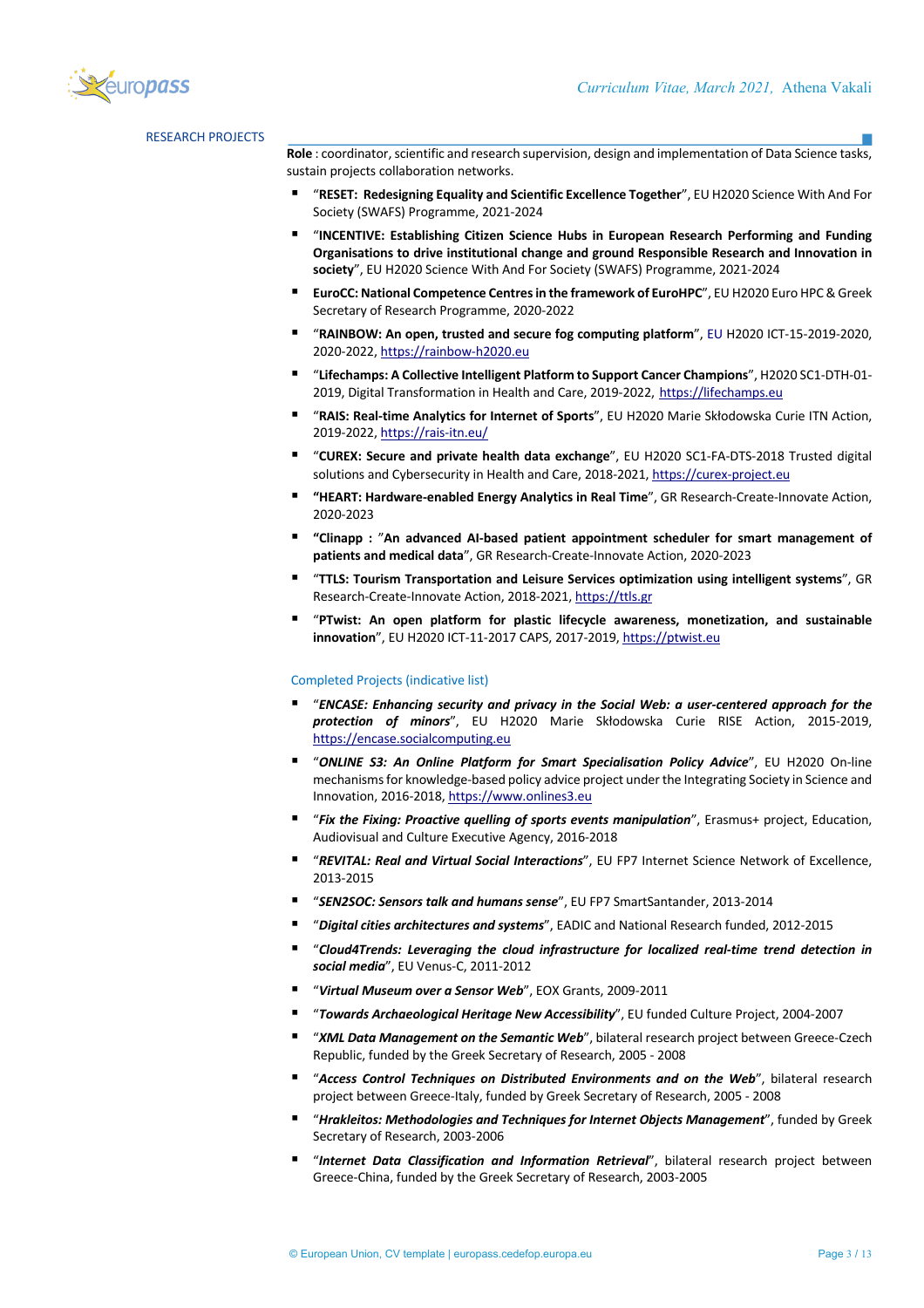

# RESEARCH PROJECTS

**Role** : coordinator, scientific and research supervision, design and implementation of Data Science tasks, sustain projects collaboration networks.

- § "**RESET: Redesigning Equality and Scientific Excellence Together**", EU H2020 Science With And For Society (SWAFS) Programme, 2021-2024
- § "**INCENTIVE: Establishing Citizen Science Hubs in European Research Performing and Funding Organisations to drive institutional change and ground Responsible Research and Innovation in society**", EU H2020 Science With And For Society (SWAFS) Programme, 2021-2024
- § **EuroCC: National Competence Centres in the framework of EuroHPC**", EU H2020 Euro HPC & Greek Secretary of Research Programme, 2020-2022
- § "**RAINBOW: An open, trusted and secure fog computing platform**", EU Η2020 ICT-15-2019-2020, 2020-2022, https://rainbow-h2020.eu
- § "**Lifechamps: A Collective Intelligent Platform to Support Cancer Champions**", H2020 SC1-DTH-01- 2019, Digital Transformation in Health and Care, 2019-2022, https://lifechamps.eu
- § "**RAIS: Real-time Analytics for Internet of Sports**", EU H2020 Marie Skłodowska Curie ITN Action, 2019-2022, https://rais-itn.eu/
- § "**CUREX: Secure and private health data exchange**", EU H2020 SC1-FA-DTS-2018 Trusted digital solutions and Cybersecurity in Health and Care, 2018-2021, https://curex-project.eu
- "HEART: Hardware-enabled Energy Analytics in Real Time", GR Research-Create-Innovate Action, 2020-2023
- § **"Clinapp :** "**An advanced AI-based patient appointment scheduler for smart management of patients and medical data**", GR Research-Create-Innovate Action, 2020-2023
- § "**TTLS: Tourism Transportation and Leisure Services optimization using intelligent systems**", GR Research-Create-Innovate Action, 2018-2021, https://ttls.gr
- § "**PTwist: An open platform for plastic lifecycle awareness, monetization, and sustainable innovation**", EU H2020 ICT-11-2017 CAPS, 2017-2019, https://ptwist.eu

#### Completed Projects (indicative list)

- § "*ENCASE: Enhancing security and privacy in the Social Web: a user-centered approach for the protection of minors*", EU H2020 Marie Skłodowska Curie RISE Action, 2015-2019, https://encase.socialcomputing.eu
- § "*ONLINE S3: An Online Platform for Smart Specialisation Policy Advice*", EU H2020 On-line mechanisms for knowledge-based policy advice project under the Integrating Society in Science and Innovation, 2016-2018, https://www.onlines3.eu
- § "*Fix the Fixing: Proactive quelling of sports events manipulation*", Erasmus+ project, Education, Audiovisual and Culture Executive Agency, 2016-2018
- § "*REVITAL: Real and Virtual Social Interactions*", EU FP7 Internet Science Network of Excellence, 2013-2015
- § "*SEN2SOC: Sensors talk and humans sense*", EU FP7 SmartSantander, 2013-2014
- § "*Digital cities architectures and systems*", EADIC and National Research funded, 2012-2015
- § "*Cloud4Trends: Leveraging the cloud infrastructure for localized real-time trend detection in social media*", EU Venus-C, 2011-2012
- § "*Virtual Museum over a Sensor Web*", EOX Grants, 2009-2011
- § "*Towards Archaeological Heritage New Accessibility*", EU funded Culture Project, 2004-2007
- § "*XML Data Management on the Semantic Web*", bilateral research project between Greece-Czech Republic, funded by the Greek Secretary of Research, 2005 - 2008
- § "*Access Control Techniques on Distributed Environments and on the Web*", bilateral research project between Greece-Italy, funded by Greek Secretary of Research, 2005 - 2008
- § "*Hrakleitos: Methodologies and Techniques for Internet Objects Management*", funded by Greek Secretary of Research, 2003-2006
- § "*Internet Data Classification and Information Retrieval*", bilateral research project between Greece-China, funded by the Greek Secretary of Research, 2003-2005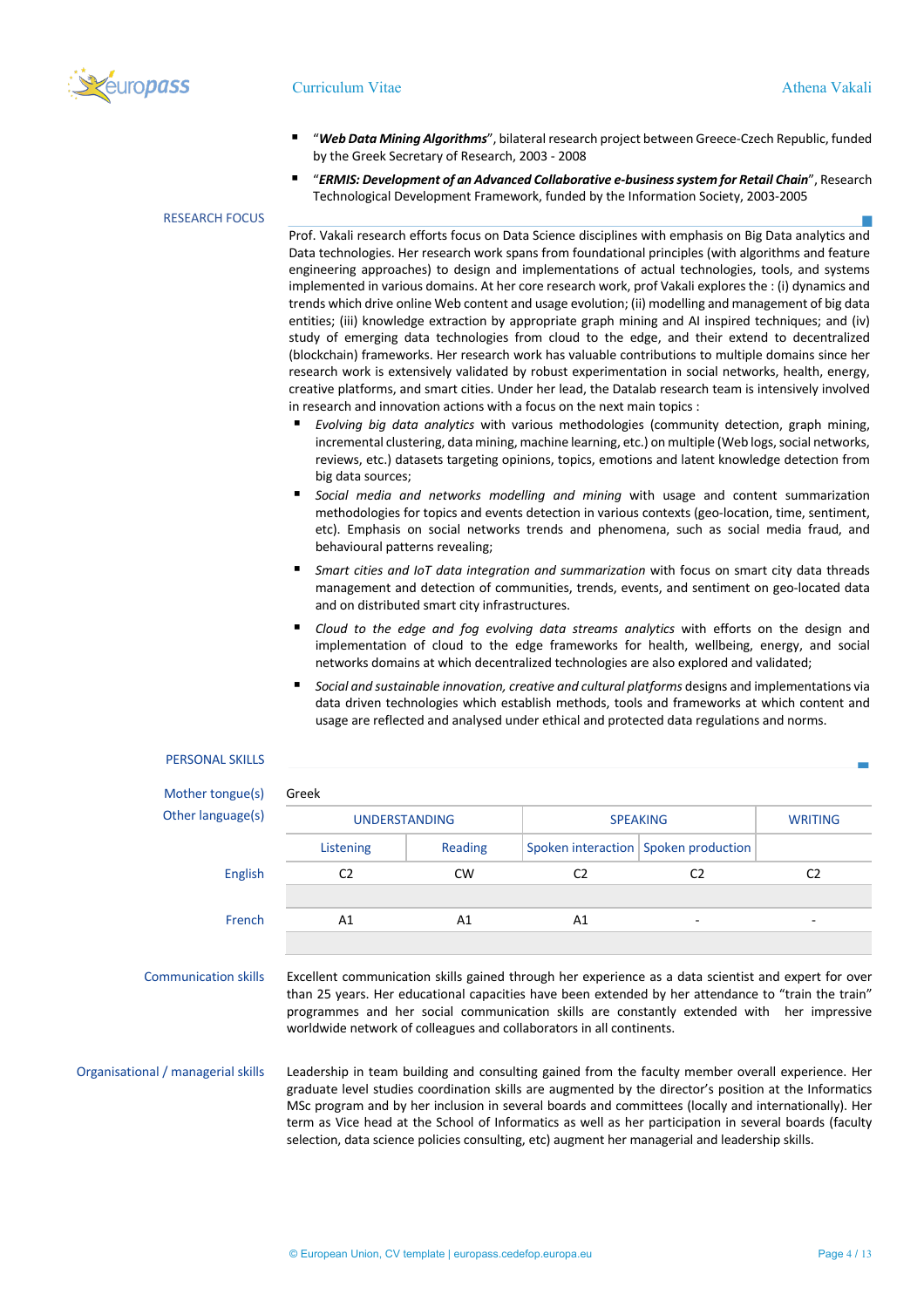

## Curriculum Vitae Athena Vakali

- § "*Web Data Mining Algorithms*", bilateral research project between Greece-Czech Republic, funded by the Greek Secretary of Research, 2003 - 2008
- § "*ERMIS: Development of an Advanced Collaborative e-business system for Retail Chain*", Research Technological Development Framework, funded by the Information Society, 2003-2005

# RESEARCH FOCUS

Prof. Vakali research efforts focus on Data Science disciplines with emphasis on Big Data analytics and Data technologies. Her research work spans from foundational principles (with algorithms and feature engineering approaches) to design and implementations of actual technologies, tools, and systems implemented in various domains. At her core research work, prof Vakali explores the : (i) dynamics and trends which drive online Web content and usage evolution; (ii) modelling and management of big data entities; (iii) knowledge extraction by appropriate graph mining and AI inspired techniques; and (iv) study of emerging data technologies from cloud to the edge, and their extend to decentralized (blockchain) frameworks. Her research work has valuable contributions to multiple domains since her research work is extensively validated by robust experimentation in social networks, health, energy, creative platforms, and smart cities. Under her lead, the Datalab research team is intensively involved in research and innovation actions with a focus on the next main topics :

- § *Evolving big data analytics* with various methodologies (community detection, graph mining, incremental clustering, data mining, machine learning, etc.) on multiple (Web logs, social networks, reviews, etc.) datasets targeting opinions, topics, emotions and latent knowledge detection from big data sources;
- § *Social media and networks modelling and mining* with usage and content summarization methodologies for topics and events detection in various contexts (geo-location, time, sentiment, etc). Emphasis on social networks trends and phenomena, such as social media fraud, and behavioural patterns revealing;
- § *Smart cities and IoT data integration and summarization* with focus on smart city data threads management and detection of communities, trends, events, and sentiment on geo-located data and on distributed smart city infrastructures.
- § *Cloud to the edge and fog evolving data streams analytics* with efforts on the design and implementation of cloud to the edge frameworks for health, wellbeing, energy, and social networks domains at which decentralized technologies are also explored and validated;
- § *Social and sustainable innovation, creative and cultural platforms* designs and implementations via data driven technologies which establish methods, tools and frameworks at which content and usage are reflected and analysed under ethical and protected data regulations and norms.

| <b>PERSONAL SKILLS</b>             |                      |           |                                                                                                                                                                                                                                                                                                                                                                                   |                                        |                |
|------------------------------------|----------------------|-----------|-----------------------------------------------------------------------------------------------------------------------------------------------------------------------------------------------------------------------------------------------------------------------------------------------------------------------------------------------------------------------------------|----------------------------------------|----------------|
| Mother tongue(s)                   | Greek                |           |                                                                                                                                                                                                                                                                                                                                                                                   |                                        |                |
| Other language(s)                  | <b>UNDERSTANDING</b> |           | <b>SPEAKING</b>                                                                                                                                                                                                                                                                                                                                                                   |                                        | <b>WRITING</b> |
|                                    | Listening            | Reading   |                                                                                                                                                                                                                                                                                                                                                                                   | Spoken interaction   Spoken production |                |
| <b>English</b>                     | C <sub>2</sub>       | <b>CW</b> | C <sub>2</sub>                                                                                                                                                                                                                                                                                                                                                                    | C <sub>2</sub>                         | C <sub>2</sub> |
|                                    |                      |           |                                                                                                                                                                                                                                                                                                                                                                                   |                                        |                |
| French                             | A1                   | A1        | A1                                                                                                                                                                                                                                                                                                                                                                                |                                        |                |
| <b>Communication skills</b>        |                      |           | Excellent communication skills gained through her experience as a data scientist and expert for over<br>than 25 years. Her educational capacities have been extended by her attendance to "train the train"<br>programmes and her social communication skills are constantly extended with her impressive<br>worldwide network of colleagues and collaborators in all continents. |                                        |                |
| Organisational / managerial skills |                      |           | Leadership in team building and consulting gained from the faculty member overall experience. Her<br>graduate level studies coordination skills are augmented by the director's position at the Informatics<br>MSc program and by her inclusion in several boards and committees (locally and internationally). Her                                                               |                                        |                |

term as Vice head at the School of Informatics as well as her participation in several boards (faculty selection, data science policies consulting, etc) augment her managerial and leadership skills.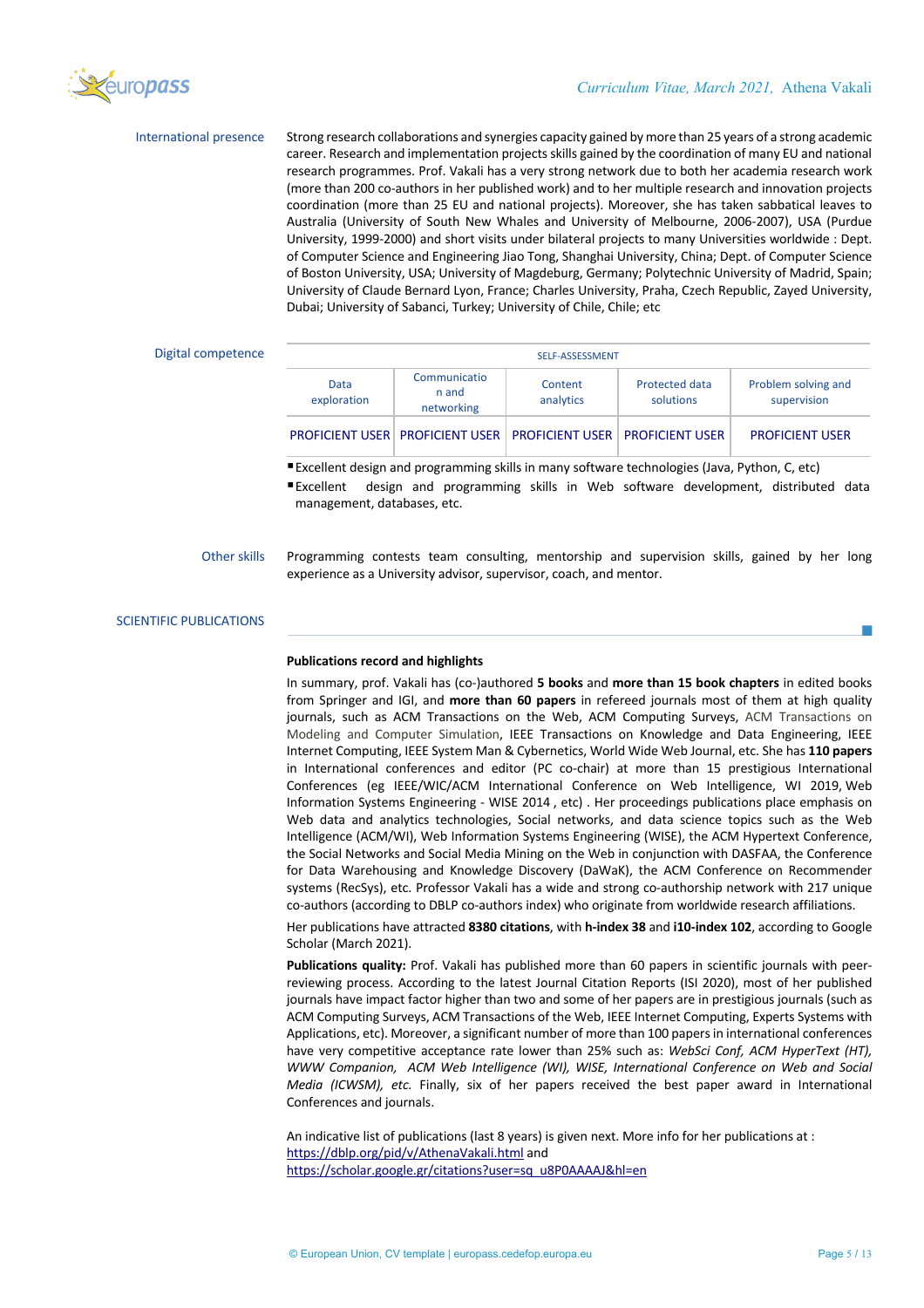

International presence Strong research collaborations and synergies capacity gained by more than 25 years of a strong academic career. Research and implementation projects skills gained by the coordination of many EU and national research programmes. Prof. Vakali has a very strong network due to both her academia research work (more than 200 co-authors in her published work) and to her multiple research and innovation projects coordination (more than 25 EU and national projects). Moreover, she has taken sabbatical leaves to Australia (University of South New Whales and University of Melbourne, 2006-2007), USA (Purdue University, 1999-2000) and short visits under bilateral projects to many Universities worldwide : Dept. of Computer Science and Engineering Jiao Tong, Shanghai University, China; Dept. of Computer Science of Boston University, USA; University of Magdeburg, Germany; Polytechnic University of Madrid, Spain; University of Claude Bernard Lyon, France; Charles University, Praha, Czech Republic, Zayed University, Dubai; University of Sabanci, Turkey; University of Chile, Chile; etc

## Digital competence

| SELF-ASSESSMENT     |                                                                        |                      |                                    |                                    |
|---------------------|------------------------------------------------------------------------|----------------------|------------------------------------|------------------------------------|
| Data<br>exploration | Communicatio<br>n and<br>networking                                    | Content<br>analytics | <b>Protected data</b><br>solutions | Problem solving and<br>supervision |
|                     | <b>PROFICIENT USER PROFICIENT USER PROFICIENT USER PROFICIENT USER</b> |                      |                                    | <b>PROFICIENT USER</b>             |

■ Excellent design and programming skills in many software technologies (Java, Python, C, etc)

§Excellent design and programming skills in Web software development, distributed data management, databases, etc.

## Other skills Programming contests team consulting, mentorship and supervision skills, gained by her long experience as a University advisor, supervisor, coach, and mentor.

## SCIENTIFIC PUBLICATIONS

## **Publications record and highlights**

In summary, prof. Vakali has (co-)authored **5 books** and **more than 15 book chapters** in edited books from Springer and IGI, and **more than 60 papers** in refereed journals most of them at high quality journals, such as ACM Transactions on the Web, ACM Computing Surveys, ACM Transactions on Modeling and Computer Simulation, IEEE Transactions on Knowledge and Data Engineering, IEEE Internet Computing, IEEE System Man & Cybernetics, World Wide Web Journal, etc. She has **110 papers** in International conferences and editor (PC co-chair) at more than 15 prestigious International Conferences (eg IEEE/WIC/ACM International Conference on Web Intelligence, WI 2019, Web Information Systems Engineering - WISE 2014 , etc) . Her proceedings publications place emphasis on Web data and analytics technologies, Social networks, and data science topics such as the Web Intelligence (ACM/WI), Web Information Systems Engineering (WISE), the ACM Hypertext Conference, the Social Networks and Social Media Mining on the Web in conjunction with DASFAA, the Conference for Data Warehousing and Knowledge Discovery (DaWaK), the ACM Conference on Recommender systems (RecSys), etc. Professor Vakali has a wide and strong co-authorship network with 217 unique co-authors (according to DBLP co-authors index) who originate from worldwide research affiliations.

Her publications have attracted **8380 citations**, with **h-index 38** and **i10-index 102**, according to Google Scholar (March 2021).

**Publications quality:** Prof. Vakali has published more than 60 papers in scientific journals with peerreviewing process. According to the latest Journal Citation Reports (ISI 2020), most of her published journals have impact factor higher than two and some of her papers are in prestigious journals (such as ACM Computing Surveys, ACM Transactions of the Web, IEEE Internet Computing, Experts Systems with Applications, etc). Moreover, a significant number of more than 100 papers in international conferences have very competitive acceptance rate lower than 25% such as: *WebSci Conf, ACM HyperText (HT), WWW Companion, ACM Web Intelligence (WI), WISE, International Conference on Web and Social Media (ICWSM), etc.* Finally, six of her papers received the best paper award in International Conferences and journals.

An indicative list of publications (last 8 years) is given next. More info for her publications at : https://dblp.org/pid/v/AthenaVakali.html and https://scholar.google.gr/citations?user=sq\_u8P0AAAAJ&hl=en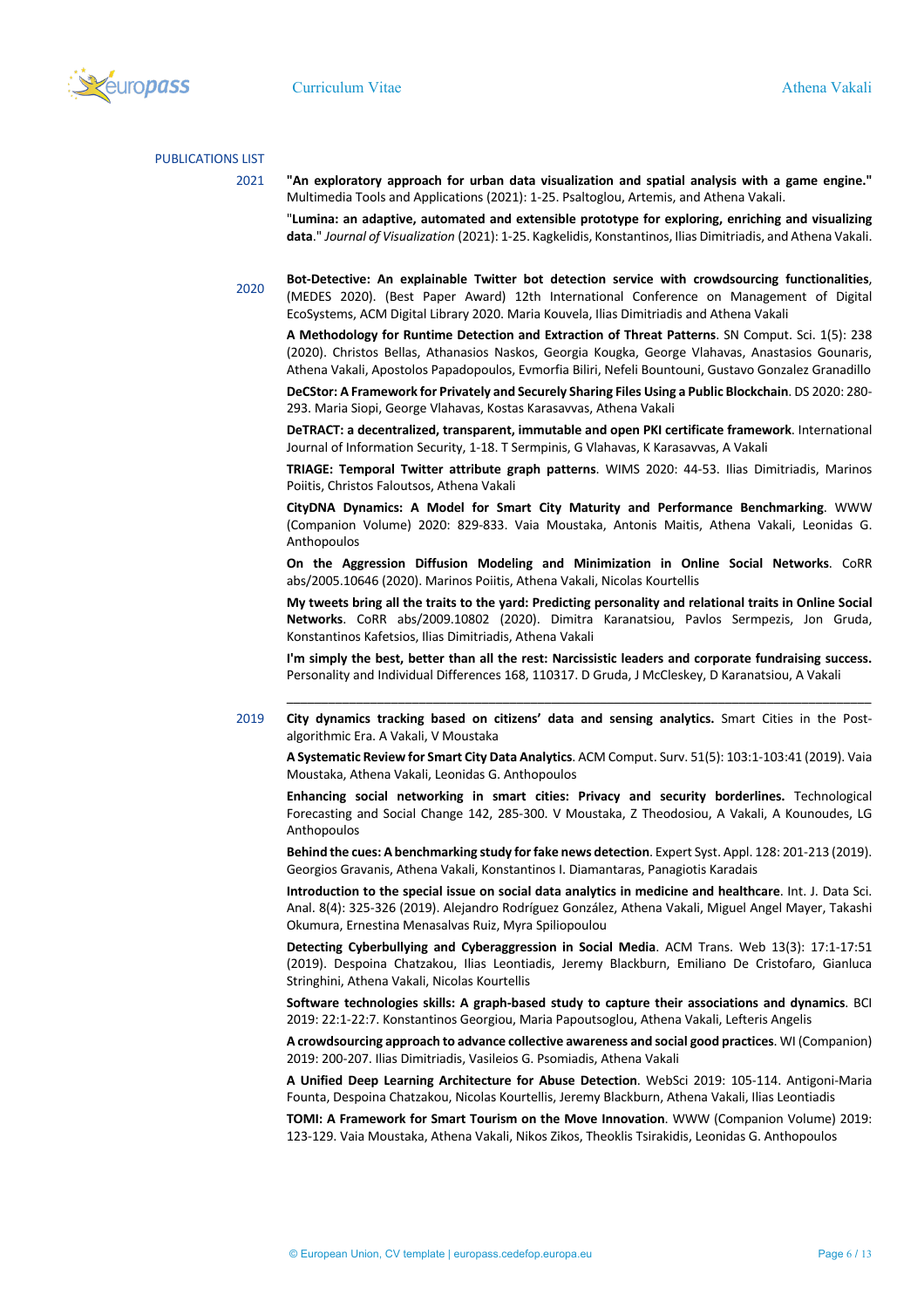

#### PUBLICATIONS LIST

2021 **"An exploratory approach for urban data visualization and spatial analysis with a game engine."** Multimedia Tools and Applications (2021): 1-25. Psaltoglou, Artemis, and Athena Vakali.

"**Lumina: an adaptive, automated and extensible prototype for exploring, enriching and visualizing data**." *Journal of Visualization* (2021): 1-25. Kagkelidis, Konstantinos, Ilias Dimitriadis, and Athena Vakali.

2020

**Bot-Detective: An explainable Twitter bot detection service with crowdsourcing functionalities**, (MEDES 2020). (Best Paper Award) 12th International Conference on Management of Digital EcoSystems, ACM Digital Library 2020. Maria Kouvela, Ilias Dimitriadis and Athena Vakali

**A Methodology for Runtime Detection and Extraction of Threat Patterns**. SN Comput. Sci. 1(5): 238 (2020). Christos Bellas, Athanasios Naskos, Georgia Kougka, George Vlahavas, Anastasios Gounaris, Athena Vakali, Apostolos Papadopoulos, Evmorfia Biliri, Nefeli Bountouni, Gustavo Gonzalez Granadillo

**DeCStor: A Framework for Privately and Securely Sharing Files Using a Public Blockchain**. DS 2020: 280- 293. Maria Siopi, George Vlahavas, Kostas Karasavvas, Athena Vakali

**DeTRACT: a decentralized, transparent, immutable and open PKI certificate framework**. International Journal of Information Security, 1-18. T Sermpinis, G Vlahavas, K Karasavvas, A Vakali

**TRIAGE: Temporal Twitter attribute graph patterns**. WIMS 2020: 44-53. Ilias Dimitriadis, Marinos Poiitis, Christos Faloutsos, Athena Vakali

**CityDNA Dynamics: A Model for Smart City Maturity and Performance Benchmarking**. WWW (Companion Volume) 2020: 829-833. Vaia Moustaka, Antonis Maitis, Athena Vakali, Leonidas G. Anthopoulos

**On the Aggression Diffusion Modeling and Minimization in Online Social Networks**. CoRR abs/2005.10646 (2020). Marinos Poiitis, Athena Vakali, Nicolas Kourtellis

**My tweets bring all the traits to the yard: Predicting personality and relational traits in Online Social Networks**. CoRR abs/2009.10802 (2020). Dimitra Karanatsiou, Pavlos Sermpezis, Jon Gruda, Konstantinos Kafetsios, Ilias Dimitriadis, Athena Vakali

**I'm simply the best, better than all the rest: Narcissistic leaders and corporate fundraising success.**  Personality and Individual Differences 168, 110317. D Gruda, J McCleskey, D Karanatsiou, A Vakali \_\_\_\_\_\_\_\_\_\_\_\_\_\_\_\_\_\_\_\_\_\_\_\_\_\_\_\_\_\_\_\_\_\_\_\_\_\_\_\_\_\_\_\_\_\_\_\_\_\_\_\_\_\_\_\_\_\_\_\_\_\_\_\_\_\_\_\_\_\_\_\_\_\_\_\_\_\_\_\_\_\_\_\_

2019 **City dynamics tracking based on citizens' data and sensing analytics.** Smart Cities in the Postalgorithmic Era. A Vakali, V Moustaka

**A Systematic Review for Smart City Data Analytics**. ACM Comput. Surv. 51(5): 103:1-103:41 (2019). Vaia Moustaka, Athena Vakali, Leonidas G. Anthopoulos

**Εnhancing social networking in smart cities: Privacy and security borderlines.** Technological Forecasting and Social Change 142, 285-300. V Moustaka, Z Theodosiou, A Vakali, A Kounoudes, LG Anthopoulos

**Behind the cues: A benchmarking study for fake news detection**. Expert Syst. Appl. 128: 201-213 (2019). Georgios Gravanis, Athena Vakali, Konstantinos I. Diamantaras, Panagiotis Karadais

**Introduction to the special issue on social data analytics in medicine and healthcare**. Int. J. Data Sci. Anal. 8(4): 325-326 (2019). Alejandro Rodríguez González, Athena Vakali, Miguel Angel Mayer, Takashi Okumura, Ernestina Menasalvas Ruiz, Myra Spiliopoulou

**Detecting Cyberbullying and Cyberaggression in Social Media**. ACM Trans. Web 13(3): 17:1-17:51 (2019). Despoina Chatzakou, Ilias Leontiadis, Jeremy Blackburn, Emiliano De Cristofaro, Gianluca Stringhini, Athena Vakali, Nicolas Kourtellis

**Software technologies skills: A graph-based study to capture their associations and dynamics**. BCI 2019: 22:1-22:7. Konstantinos Georgiou, Maria Papoutsoglou, Athena Vakali, Lefteris Angelis

**A crowdsourcing approach to advance collective awareness and social good practices**. WI (Companion) 2019: 200-207. Ilias Dimitriadis, Vasileios G. Psomiadis, Athena Vakali

**A Unified Deep Learning Architecture for Abuse Detection**. WebSci 2019: 105-114. Antigoni-Maria Founta, Despoina Chatzakou, Nicolas Kourtellis, Jeremy Blackburn, Athena Vakali, Ilias Leontiadis

**TOMI: A Framework for Smart Tourism on the Move Innovation**. WWW (Companion Volume) 2019: 123-129. Vaia Moustaka, Athena Vakali, Nikos Zikos, Theoklis Tsirakidis, Leonidas G. Anthopoulos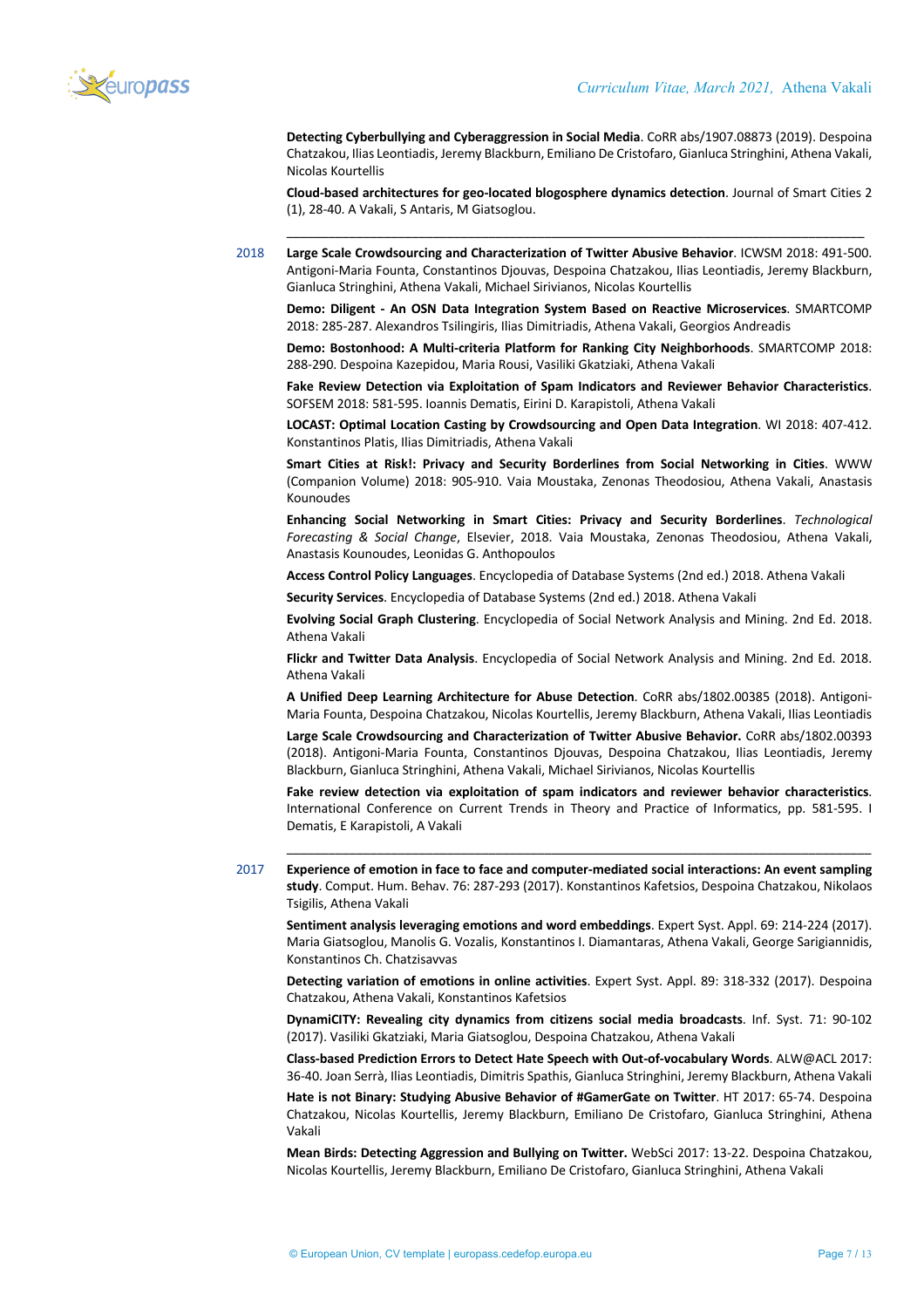

**Detecting Cyberbullying and Cyberaggression in Social Media**. CoRR abs/1907.08873 (2019). Despoina Chatzakou, Ilias Leontiadis, Jeremy Blackburn, Emiliano De Cristofaro, Gianluca Stringhini, Athena Vakali, Nicolas Kourtellis

**Cloud-based architectures for geo-located blogosphere dynamics detection**. Journal of Smart Cities 2 (1), 28-40. A Vakali, S Antaris, M Giatsoglou. \_\_\_\_\_\_\_\_\_\_\_\_\_\_\_\_\_\_\_\_\_\_\_\_\_\_\_\_\_\_\_\_\_\_\_\_\_\_\_\_\_\_\_\_\_\_\_\_\_\_\_\_\_\_\_\_\_\_\_\_\_\_\_\_\_\_\_\_\_\_\_\_\_\_\_\_\_\_\_\_\_\_\_

2018 **Large Scale Crowdsourcing and Characterization of Twitter Abusive Behavior**. ICWSM 2018: 491-500. Antigoni-Maria Founta, Constantinos Djouvas, Despoina Chatzakou, Ilias Leontiadis, Jeremy Blackburn, Gianluca Stringhini, Athena Vakali, Michael Sirivianos, Nicolas Kourtellis

**Demo: Diligent - An OSN Data Integration System Based on Reactive Microservices**. SMARTCOMP 2018: 285-287. Alexandros Tsilingiris, Ilias Dimitriadis, Athena Vakali, Georgios Andreadis

**Demo: Bostonhood: A Multi-criteria Platform for Ranking City Neighborhoods**. SMARTCOMP 2018: 288-290. Despoina Kazepidou, Maria Rousi, Vasiliki Gkatziaki, Athena Vakali

**Fake Review Detection via Exploitation of Spam Indicators and Reviewer Behavior Characteristics**. SOFSEM 2018: 581-595. Ioannis Dematis, Eirini D. Karapistoli, Athena Vakali

**LOCAST: Optimal Location Casting by Crowdsourcing and Open Data Integration**. WI 2018: 407-412. Konstantinos Platis, Ilias Dimitriadis, Athena Vakali

**Smart Cities at Risk!: Privacy and Security Borderlines from Social Networking in Cities**. WWW (Companion Volume) 2018: 905-910. Vaia Moustaka, Zenonas Theodosiou, Athena Vakali, Anastasis Kounoudes

**Εnhancing Social Networking in Smart Cities: Privacy and Security Borderlines**. *Technological Forecasting & Social Change*, Elsevier, 2018. Vaia Moustaka, Zenonas Theodosiou, Athena Vakali, Anastasis Kounoudes, Leonidas G. Anthopoulos

**Access Control Policy Languages**. Encyclopedia of Database Systems (2nd ed.) 2018. Athena Vakali

**Security Services**. Encyclopedia of Database Systems (2nd ed.) 2018. Athena Vakali

**Evolving Social Graph Clustering**. Encyclopedia of Social Network Analysis and Mining. 2nd Ed. 2018. Athena Vakali

**Flickr and Twitter Data Analysis**. Encyclopedia of Social Network Analysis and Mining. 2nd Ed. 2018. Athena Vakali

**A Unified Deep Learning Architecture for Abuse Detection**. CoRR abs/1802.00385 (2018). Antigoni-Maria Founta, Despoina Chatzakou, Nicolas Kourtellis, Jeremy Blackburn, Athena Vakali, Ilias Leontiadis

**Large Scale Crowdsourcing and Characterization of Twitter Abusive Behavior.** CoRR abs/1802.00393 (2018). Antigoni-Maria Founta, Constantinos Djouvas, Despoina Chatzakou, Ilias Leontiadis, Jeremy Blackburn, Gianluca Stringhini, Athena Vakali, Michael Sirivianos, Nicolas Kourtellis

**Fake review detection via exploitation of spam indicators and reviewer behavior characteristics**. International Conference on Current Trends in Theory and Practice of Informatics, pp. 581-595. I Dematis, E Karapistoli, A Vakali

\_\_\_\_\_\_\_\_\_\_\_\_\_\_\_\_\_\_\_\_\_\_\_\_\_\_\_\_\_\_\_\_\_\_\_\_\_\_\_\_\_\_\_\_\_\_\_\_\_\_\_\_\_\_\_\_\_\_\_\_\_\_\_\_\_\_\_\_\_\_\_\_\_\_\_\_\_\_\_\_\_\_\_\_

2017 **Experience of emotion in face to face and computer-mediated social interactions: An event sampling study**. Comput. Hum. Behav. 76: 287-293 (2017). Konstantinos Kafetsios, Despoina Chatzakou, Nikolaos Tsigilis, Athena Vakali

**Sentiment analysis leveraging emotions and word embeddings**. Expert Syst. Appl. 69: 214-224 (2017). Maria Giatsoglou, Manolis G. Vozalis, Konstantinos I. Diamantaras, Athena Vakali, George Sarigiannidis, Konstantinos Ch. Chatzisavvas

**Detecting variation of emotions in online activities**. Expert Syst. Appl. 89: 318-332 (2017). Despoina Chatzakou, Athena Vakali, Konstantinos Kafetsios

**DynamiCITY: Revealing city dynamics from citizens social media broadcasts**. Inf. Syst. 71: 90-102 (2017). Vasiliki Gkatziaki, Maria Giatsoglou, Despoina Chatzakou, Athena Vakali

**Class-based Prediction Errors to Detect Hate Speech with Out-of-vocabulary Words**. ALW@ACL 2017: 36-40. Joan Serrà, Ilias Leontiadis, Dimitris Spathis, Gianluca Stringhini, Jeremy Blackburn, Athena Vakali

**Hate is not Binary: Studying Abusive Behavior of #GamerGate on Twitter**. HT 2017: 65-74. Despoina Chatzakou, Nicolas Kourtellis, Jeremy Blackburn, Emiliano De Cristofaro, Gianluca Stringhini, Athena Vakali

**Mean Birds: Detecting Aggression and Bullying on Twitter.** WebSci 2017: 13-22. Despoina Chatzakou, Nicolas Kourtellis, Jeremy Blackburn, Emiliano De Cristofaro, Gianluca Stringhini, Athena Vakali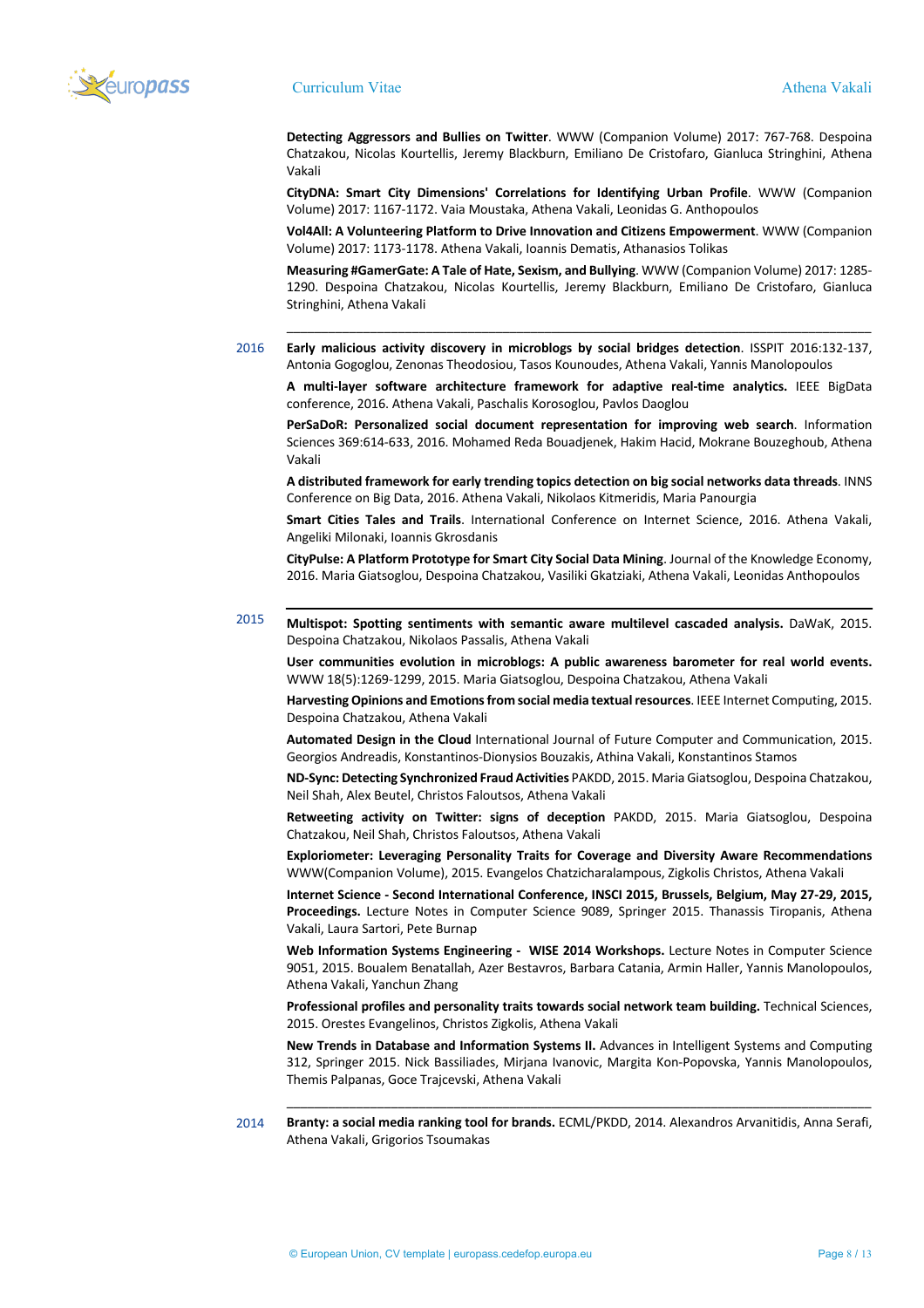

**Detecting Aggressors and Bullies on Twitter**. WWW (Companion Volume) 2017: 767-768. Despoina Chatzakou, Nicolas Kourtellis, Jeremy Blackburn, Emiliano De Cristofaro, Gianluca Stringhini, Athena Vakali

**CityDNA: Smart City Dimensions' Correlations for Identifying Urban Profile**. WWW (Companion Volume) 2017: 1167-1172. Vaia Moustaka, Athena Vakali, Leonidas G. Anthopoulos

**Vol4All: A Volunteering Platform to Drive Innovation and Citizens Empowerment**. WWW (Companion Volume) 2017: 1173-1178. Athena Vakali, Ioannis Dematis, Athanasios Tolikas

**Measuring #GamerGate: A Tale of Hate, Sexism, and Bullying**. WWW (Companion Volume) 2017: 1285- 1290. Despoina Chatzakou, Nicolas Kourtellis, Jeremy Blackburn, Emiliano De Cristofaro, Gianluca Stringhini, Athena Vakali

\_\_\_\_\_\_\_\_\_\_\_\_\_\_\_\_\_\_\_\_\_\_\_\_\_\_\_\_\_\_\_\_\_\_\_\_\_\_\_\_\_\_\_\_\_\_\_\_\_\_\_\_\_\_\_\_\_\_\_\_\_\_\_\_\_\_\_\_\_\_\_\_\_\_\_\_\_\_\_\_\_\_\_\_

2016 **Early malicious activity discovery in microblogs by social bridges detection**. ISSPIT 2016:132-137, Antonia Gogoglou, Zenonas Theodosiou, Tasos Kounoudes, Athena Vakali, Yannis Manolopoulos

**A multi-layer software architecture framework for adaptive real-time analytics.** IEEE BigData conference, 2016. Athena Vakali, Paschalis Korosoglou, Pavlos Daoglou

**PerSaDoR: Personalized social document representation for improving web search**. Information Sciences 369:614-633, 2016. Mohamed Reda Bouadjenek, Hakim Hacid, Mokrane Bouzeghoub, Athena Vakali

**A distributed framework for early trending topics detection on big social networks data threads**. INNS Conference on Big Data, 2016. Athena Vakali, Nikolaos Kitmeridis, Maria Panourgia

**Smart Cities Tales and Trails**. International Conference on Internet Science, 2016. Athena Vakali, Angeliki Milonaki, Ioannis Gkrosdanis

**CityPulse: A Platform Prototype for Smart City Social Data Mining**. Journal of the Knowledge Economy, 2016. Maria Giatsoglou, Despoina Chatzakou, Vasiliki Gkatziaki, Athena Vakali, Leonidas Anthopoulos

2015 **Multispot: Spotting sentiments with semantic aware multilevel cascaded analysis.** DaWaK, 2015. Despoina Chatzakou, Nikolaos Passalis, Athena Vakali

**User communities evolution in microblogs: A public awareness barometer for real world events.** WWW 18(5):1269-1299, 2015. Maria Giatsoglou, Despoina Chatzakou, Athena Vakali

**Harvesting Opinions and Emotions from social media textual resources**. IEEE Internet Computing, 2015. Despoina Chatzakou, Athena Vakali

**Automated Design in the Cloud** International Journal of Future Computer and Communication, 2015. Georgios Andreadis, Konstantinos-Dionysios Bouzakis, Athina Vakali, Konstantinos Stamos

**ND-Sync: Detecting Synchronized Fraud Activities** PAKDD, 2015. Maria Giatsoglou, Despoina Chatzakou, Neil Shah, Alex Beutel, Christos Faloutsos, Athena Vakali

**Retweeting activity on Twitter: signs of deception** PAKDD, 2015. Maria Giatsoglou, Despoina Chatzakou, Neil Shah, Christos Faloutsos, Athena Vakali

**Exploriometer: Leveraging Personality Traits for Coverage and Diversity Aware Recommendations** WWW(Companion Volume), 2015. Evangelos Chatzicharalampous, Zigkolis Christos, Athena Vakali

**Internet Science - Second International Conference, INSCI 2015, Brussels, Belgium, May 27-29, 2015, Proceedings.** Lecture Notes in Computer Science 9089, Springer 2015. Thanassis Tiropanis, Athena Vakali, Laura Sartori, Pete Burnap

**Web Information Systems Engineering - WISE 2014 Workshops.** Lecture Notes in Computer Science 9051, 2015. Boualem Benatallah, Azer Bestavros, Barbara Catania, Armin Haller, Yannis Manolopoulos, Athena Vakali, Yanchun Zhang

**Professional profiles and personality traits towards social network team building.** Technical Sciences, 2015. Orestes Evangelinos, Christos Zigkolis, Athena Vakali

**New Trends in Database and Information Systems II.** Advances in Intelligent Systems and Computing 312, Springer 2015. Nick Bassiliades, Mirjana Ivanovic, Margita Kon-Popovska, Yannis Manolopoulos, Themis Palpanas, Goce Trajcevski, Athena Vakali

\_\_\_\_\_\_\_\_\_\_\_\_\_\_\_\_\_\_\_\_\_\_\_\_\_\_\_\_\_\_\_\_\_\_\_\_\_\_\_\_\_\_\_\_\_\_\_\_\_\_\_\_\_\_\_\_\_\_\_\_\_\_\_\_\_\_\_\_\_\_\_\_\_\_\_\_\_\_\_\_\_\_\_\_

2014 **Branty: a social media ranking tool for brands.** ECML/PKDD, 2014. Alexandros Arvanitidis, Anna Serafi, Athena Vakali, Grigorios Tsoumakas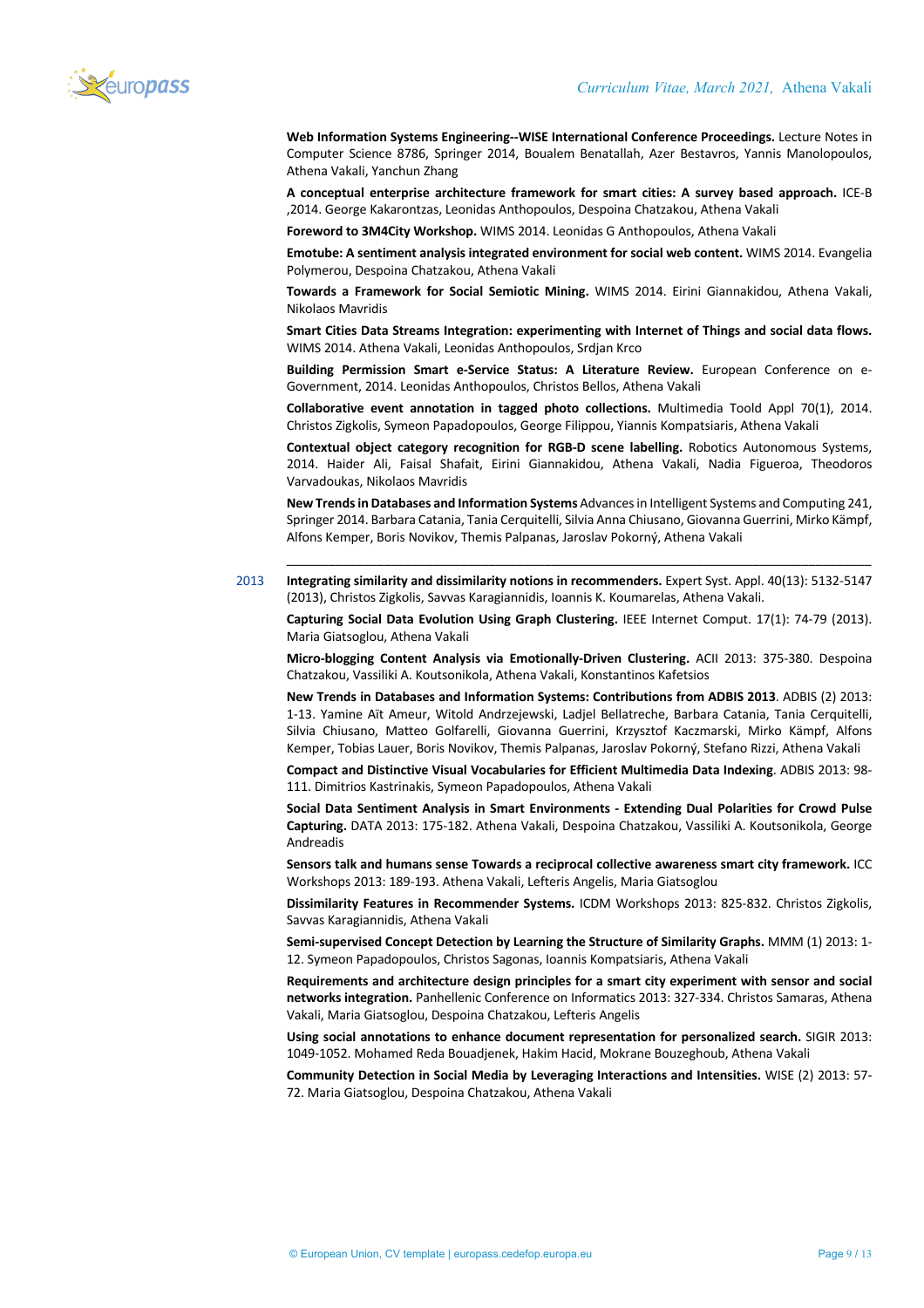

**Web Information Systems Engineering--WISE International Conference Proceedings.** Lecture Notes in Computer Science 8786, Springer 2014, Boualem Benatallah, Azer Bestavros, Yannis Manolopoulos, Athena Vakali, Yanchun Zhang

**A conceptual enterprise architecture framework for smart cities: A survey based approach.** ICE-B ,2014. George Kakarontzas, Leonidas Anthopoulos, Despoina Chatzakou, Athena Vakali

**Foreword to 3M4City Workshop.** WIMS 2014. Leonidas G Anthopoulos, Athena Vakali

**Emotube: A sentiment analysis integrated environment for social web content.** WIMS 2014. Evangelia Polymerou, Despoina Chatzakou, Athena Vakali

**Towards a Framework for Social Semiotic Mining.** WIMS 2014. Eirini Giannakidou, Athena Vakali, Nikolaos Mavridis

**Smart Cities Data Streams Integration: experimenting with Internet of Things and social data flows.** WIMS 2014. Athena Vakali, Leonidas Anthopoulos, Srdjan Krco

**Building Permission Smart e-Service Status: A Literature Review.** European Conference on e-Government, 2014. Leonidas Anthopoulos, Christos Bellos, Athena Vakali

**Collaborative event annotation in tagged photo collections.** Multimedia Toold Appl 70(1), 2014. Christos Zigkolis, Symeon Papadopoulos, George Filippou, Yiannis Kompatsiaris, Athena Vakali

**Contextual object category recognition for RGB-D scene labelling.** Robotics Autonomous Systems, 2014. Haider Ali, Faisal Shafait, Eirini Giannakidou, Athena Vakali, Nadia Figueroa, Theodoros Varvadoukas, Nikolaos Mavridis

**New Trends in Databases and Information Systems** Advances in Intelligent Systems and Computing 241, Springer 2014. Barbara Catania, Tania Cerquitelli, Silvia Anna Chiusano, Giovanna Guerrini, Mirko Kämpf, Alfons Kemper, Boris Novikov, Themis Palpanas, Jaroslav Pokorný, Athena Vakali

\_\_\_\_\_\_\_\_\_\_\_\_\_\_\_\_\_\_\_\_\_\_\_\_\_\_\_\_\_\_\_\_\_\_\_\_\_\_\_\_\_\_\_\_\_\_\_\_\_\_\_\_\_\_\_\_\_\_\_\_\_\_\_\_\_\_\_\_\_\_\_\_\_\_\_\_\_\_\_\_\_\_\_\_

2013 **Integrating similarity and dissimilarity notions in recommenders.** Expert Syst. Appl. 40(13): 5132-5147 (2013), Christos Zigkolis, Savvas Karagiannidis, Ioannis K. Koumarelas, Athena Vakali.

**Capturing Social Data Evolution Using Graph Clustering.** IEEE Internet Comput. 17(1): 74-79 (2013). Maria Giatsoglou, Athena Vakali

**Micro-blogging Content Analysis via Emotionally-Driven Clustering.** ACII 2013: 375-380. Despoina Chatzakou, Vassiliki A. Koutsonikola, Athena Vakali, Konstantinos Kafetsios

**New Trends in Databases and Information Systems: Contributions from ADBIS 2013**. ADBIS (2) 2013: 1-13. Yamine Aït Ameur, Witold Andrzejewski, Ladjel Bellatreche, Barbara Catania, Tania Cerquitelli, Silvia Chiusano, Matteo Golfarelli, Giovanna Guerrini, Krzysztof Kaczmarski, Mirko Kämpf, Alfons Kemper, Tobias Lauer, Boris Novikov, Themis Palpanas, Jaroslav Pokorný, Stefano Rizzi, Athena Vakali

**Compact and Distinctive Visual Vocabularies for Efficient Multimedia Data Indexing**. ADBIS 2013: 98- 111. Dimitrios Kastrinakis, Symeon Papadopoulos, Athena Vakali

**Social Data Sentiment Analysis in Smart Environments - Extending Dual Polarities for Crowd Pulse Capturing.** DATA 2013: 175-182. Athena Vakali, Despoina Chatzakou, Vassiliki A. Koutsonikola, George Andreadis

**Sensors talk and humans sense Towards a reciprocal collective awareness smart city framework.** ICC Workshops 2013: 189-193. Athena Vakali, Lefteris Angelis, Maria Giatsoglou

**Dissimilarity Features in Recommender Systems.** ICDM Workshops 2013: 825-832. Christos Zigkolis, Savvas Karagiannidis, Athena Vakali

**Semi-supervised Concept Detection by Learning the Structure of Similarity Graphs.** MMM (1) 2013: 1- 12. Symeon Papadopoulos, Christos Sagonas, Ioannis Kompatsiaris, Athena Vakali

**Requirements and architecture design principles for a smart city experiment with sensor and social networks integration.** Panhellenic Conference on Informatics 2013: 327-334. Christos Samaras, Athena Vakali, Maria Giatsoglou, Despoina Chatzakou, Lefteris Angelis

**Using social annotations to enhance document representation for personalized search.** SIGIR 2013: 1049-1052. Mohamed Reda Bouadjenek, Hakim Hacid, Mokrane Bouzeghoub, Athena Vakali

**Community Detection in Social Media by Leveraging Interactions and Intensities.** WISE (2) 2013: 57- 72. Maria Giatsoglou, Despoina Chatzakou, Athena Vakali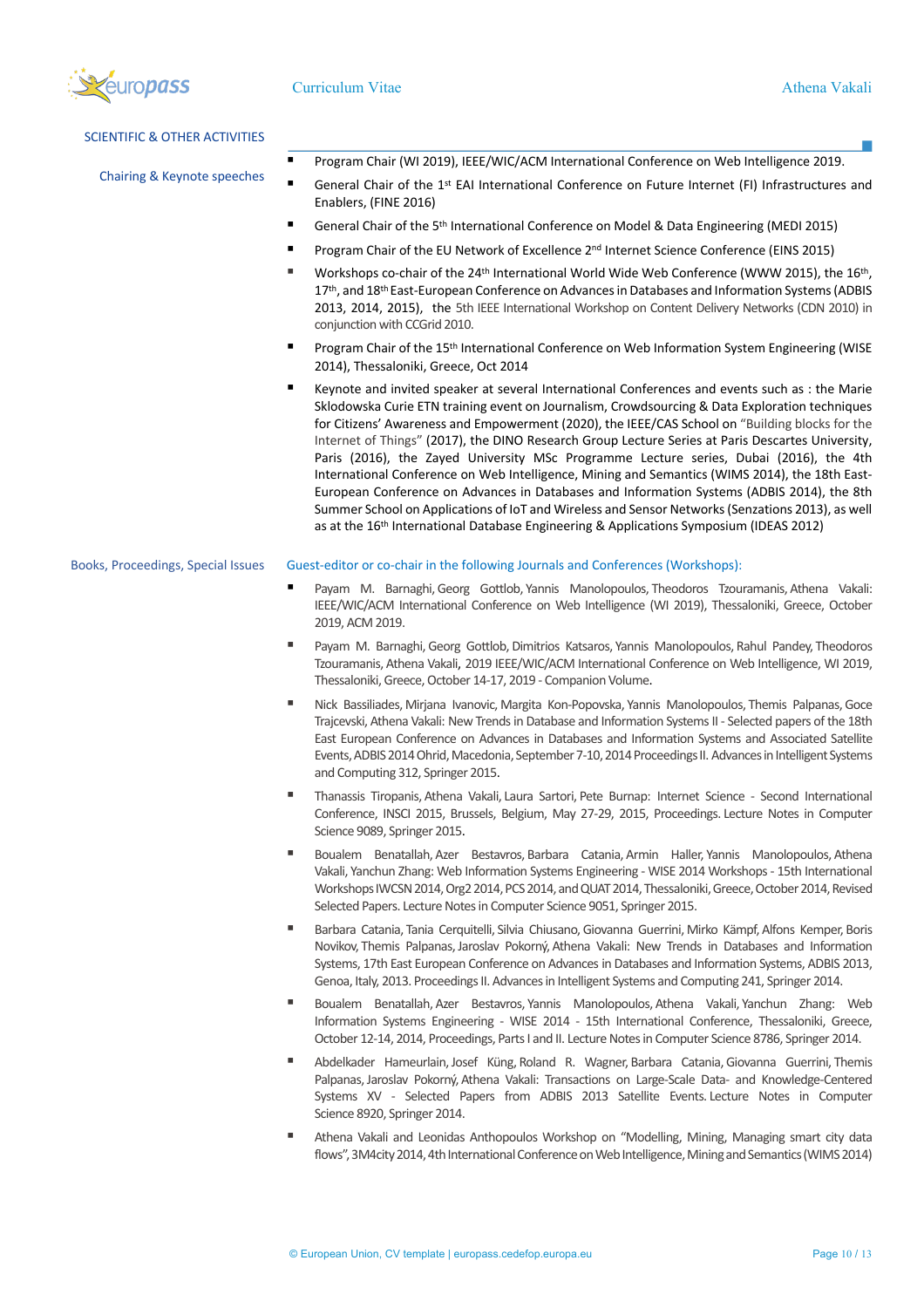

| <b>SCIENTIFIC &amp; OTHER ACTIVITIES</b> |                                                                                                                                                                                                                                                                                                                                                                                                                                                                                                                                                                                                                                                                                                                                                                                                                                                                                                                     |
|------------------------------------------|---------------------------------------------------------------------------------------------------------------------------------------------------------------------------------------------------------------------------------------------------------------------------------------------------------------------------------------------------------------------------------------------------------------------------------------------------------------------------------------------------------------------------------------------------------------------------------------------------------------------------------------------------------------------------------------------------------------------------------------------------------------------------------------------------------------------------------------------------------------------------------------------------------------------|
|                                          | Program Chair (WI 2019), IEEE/WIC/ACM International Conference on Web Intelligence 2019.<br>٠                                                                                                                                                                                                                                                                                                                                                                                                                                                                                                                                                                                                                                                                                                                                                                                                                       |
| Chairing & Keynote speeches              | ٠<br>General Chair of the 1 <sup>st</sup> EAI International Conference on Future Internet (FI) Infrastructures and<br>Enablers, (FINE 2016)                                                                                                                                                                                                                                                                                                                                                                                                                                                                                                                                                                                                                                                                                                                                                                         |
|                                          | ٠<br>General Chair of the 5 <sup>th</sup> International Conference on Model & Data Engineering (MEDI 2015)                                                                                                                                                                                                                                                                                                                                                                                                                                                                                                                                                                                                                                                                                                                                                                                                          |
|                                          | ٠<br>Program Chair of the EU Network of Excellence 2 <sup>nd</sup> Internet Science Conference (EINS 2015)                                                                                                                                                                                                                                                                                                                                                                                                                                                                                                                                                                                                                                                                                                                                                                                                          |
|                                          | ٠<br>Workshops co-chair of the 24 <sup>th</sup> International World Wide Web Conference (WWW 2015), the 16 <sup>th</sup> ,<br>17th, and 18th East-European Conference on Advances in Databases and Information Systems (ADBIS<br>2013, 2014, 2015), the 5th IEEE International Workshop on Content Delivery Networks (CDN 2010) in<br>conjunction with CCGrid 2010.                                                                                                                                                                                                                                                                                                                                                                                                                                                                                                                                                 |
|                                          | п<br>Program Chair of the 15 <sup>th</sup> International Conference on Web Information System Engineering (WISE<br>2014), Thessaloniki, Greece, Oct 2014                                                                                                                                                                                                                                                                                                                                                                                                                                                                                                                                                                                                                                                                                                                                                            |
|                                          | ٠<br>Keynote and invited speaker at several International Conferences and events such as : the Marie<br>Sklodowska Curie ETN training event on Journalism, Crowdsourcing & Data Exploration techniques<br>for Citizens' Awareness and Empowerment (2020), the IEEE/CAS School on "Building blocks for the<br>Internet of Things" (2017), the DINO Research Group Lecture Series at Paris Descartes University,<br>Paris (2016), the Zayed University MSc Programme Lecture series, Dubai (2016), the 4th<br>International Conference on Web Intelligence, Mining and Semantics (WIMS 2014), the 18th East-<br>European Conference on Advances in Databases and Information Systems (ADBIS 2014), the 8th<br>Summer School on Applications of IoT and Wireless and Sensor Networks (Senzations 2013), as well<br>as at the 16 <sup>th</sup> International Database Engineering & Applications Symposium (IDEAS 2012) |
| Books, Proceedings, Special Issues       | Guest-editor or co-chair in the following Journals and Conferences (Workshops):                                                                                                                                                                                                                                                                                                                                                                                                                                                                                                                                                                                                                                                                                                                                                                                                                                     |
|                                          | Payam M. Barnaghi, Georg Gottlob, Yannis Manolopoulos, Theodoros Tzouramanis, Athena Vakali:<br>٠<br>IEEE/WIC/ACM International Conference on Web Intelligence (WI 2019), Thessaloniki, Greece, October<br>2019, ACM 2019.                                                                                                                                                                                                                                                                                                                                                                                                                                                                                                                                                                                                                                                                                          |
|                                          | ٠<br>Payam M. Barnaghi, Georg Gottlob, Dimitrios Katsaros, Yannis Manolopoulos, Rahul Pandey, Theodoros<br>Tzouramanis, Athena Vakali, 2019 IEEE/WIC/ACM International Conference on Web Intelligence, WI 2019,<br>Thessaloniki, Greece, October 14-17, 2019 - Companion Volume.                                                                                                                                                                                                                                                                                                                                                                                                                                                                                                                                                                                                                                    |
|                                          | ٠<br>Nick Bassiliades, Mirjana Ivanovic, Margita Kon-Popovska, Yannis Manolopoulos, Themis Palpanas, Goce<br>Trajcevski, Athena Vakali: New Trends in Database and Information Systems II - Selected papers of the 18th<br>East European Conference on Advances in Databases and Information Systems and Associated Satellite<br>Events, ADBIS 2014 Ohrid, Macedonia, September 7-10, 2014 Proceedings II. Advances in Intelligent Systems<br>and Computing 312, Springer 2015.                                                                                                                                                                                                                                                                                                                                                                                                                                     |
|                                          | ٠<br>Thanassis Tiropanis, Athena Vakali, Laura Sartori, Pete Burnap: Internet Science - Second International<br>Conference, INSCI 2015, Brussels, Belgium, May 27-29, 2015, Proceedings. Lecture Notes in Computer<br>Science 9089, Springer 2015.                                                                                                                                                                                                                                                                                                                                                                                                                                                                                                                                                                                                                                                                  |
|                                          | ٠<br>Boualem Benatallah, Azer Bestavros, Barbara Catania, Armin Haller, Yannis Manolopoulos, Athena<br>Vakali, Yanchun Zhang: Web Information Systems Engineering - WISE 2014 Workshops - 15th International<br>Workshops IWCSN 2014, Org2 2014, PCS 2014, and QUAT 2014, Thessaloniki, Greece, October 2014, Revised<br>Selected Papers. Lecture Notes in Computer Science 9051, Springer 2015.                                                                                                                                                                                                                                                                                                                                                                                                                                                                                                                    |

- Barbara Catania, Tania Cerquitelli, Silvia Chiusano, Giovanna Guerrini, Mirko Kämpf, Alfons Kemper, Boris Novikov, Themis Palpanas,Jaroslav Pokorný, Athena Vakali: New Trends in Databases and Information Systems, 17th East European Conference on Advances in Databases and Information Systems, ADBIS 2013, Genoa, Italy, 2013. Proceedings II. Advances in Intelligent Systems and Computing 241, Springer 2014.
- Boualem Benatallah, Azer Bestavros, Yannis Manolopoulos, Athena Vakali, Yanchun Zhang: Web Information Systems Engineering - WISE 2014 - 15th International Conference, Thessaloniki, Greece, October 12-14, 2014, Proceedings, Parts I and II. Lecture Notes in Computer Science 8786, Springer 2014.
- § Abdelkader Hameurlain,Josef Küng, Roland R. Wagner, Barbara Catania,Giovanna Guerrini, Themis Palpanas, Jaroslav Pokorný, Athena Vakali: Transactions on Large-Scale Data- and Knowledge-Centered Systems XV - Selected Papers from ADBIS 2013 Satellite Events. Lecture Notes in Computer Science 8920, Springer 2014.
- Athena Vakali and Leonidas Anthopoulos Workshop on "Modelling, Mining, Managing smart city data flows", 3M4city 2014, 4th International Conference on Web Intelligence, Mining and Semantics (WIMS 2014)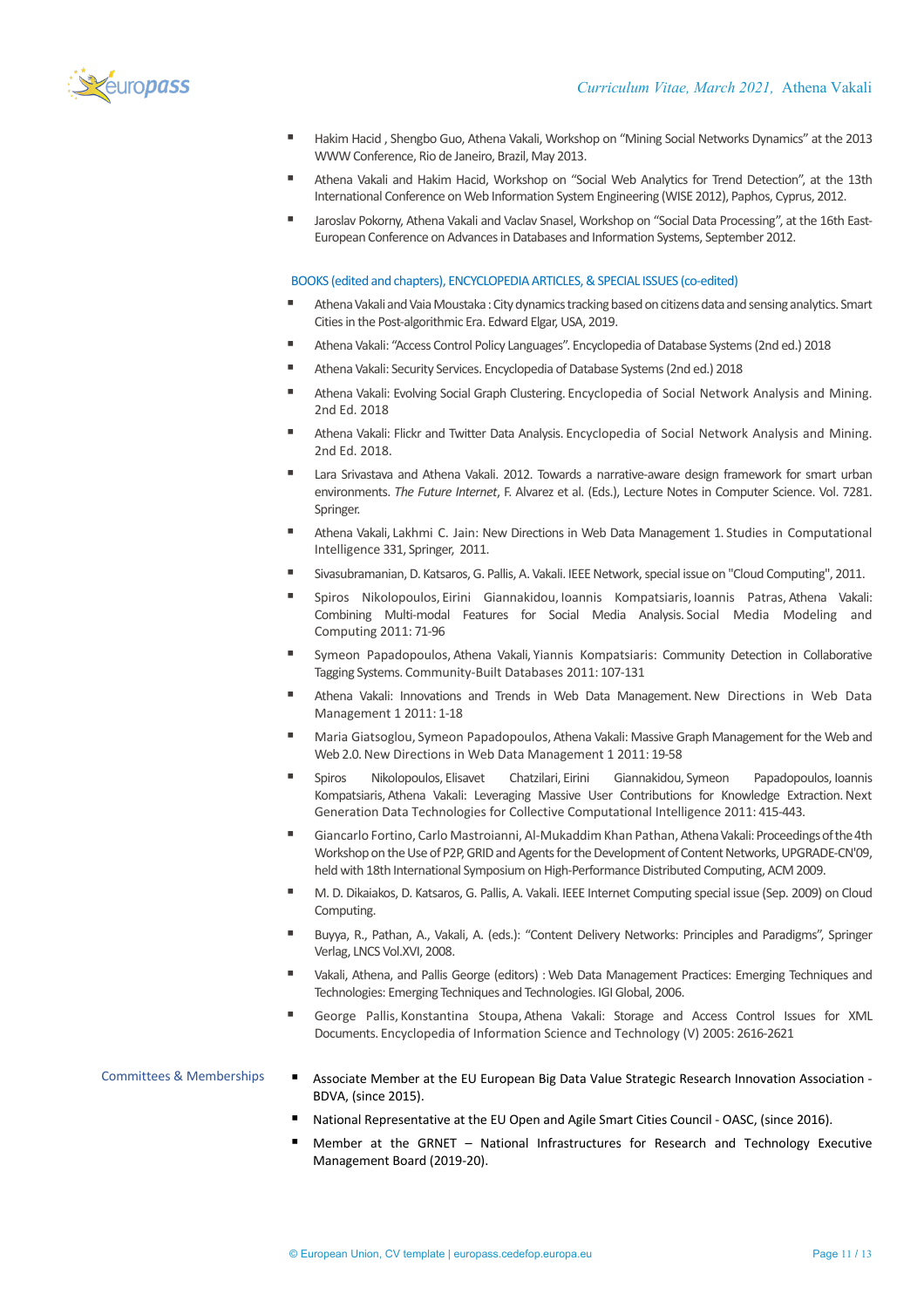

- Hakim Hacid , Shengbo Guo, Athena Vakali, Workshop on "Mining Social Networks Dynamics" at the 2013 WWW Conference, Rio de Janeiro, Brazil, May 2013.
- Athena Vakali and Hakim Hacid, Workshop on "Social Web Analytics for Trend Detection", at the 13th International Conference on Web Information System Engineering (WISE 2012), Paphos, Cyprus, 2012.
- Jaroslav Pokorny, Athena Vakali and Vaclav Snasel, Workshop on "Social Data Processing", at the 16th East-European Conference on Advances in Databases and Information Systems, September 2012.

## BOOKS (edited and chapters), ENCYCLOPEDIA ARTICLES,& SPECIAL ISSUES (co-edited)

- Athena Vakali and Vaia Moustaka: City dynamics tracking based on citizens data and sensing analytics. Smart Cities in the Post-algorithmic Era. Edward Elgar, USA, 2019.
- § Athena Vakali: "Access Control Policy Languages". Encyclopedia of Database Systems (2nd ed.) 2018
- Athena Vakali: Security Services. Encyclopedia of Database Systems (2nd ed.) 2018
- Athena Vakali: Evolving Social Graph Clustering. Encyclopedia of Social Network Analysis and Mining. 2nd Ed. 2018
- § Athena Vakali: Flickr and Twitter Data Analysis. Encyclopedia of Social Network Analysis and Mining. 2nd Ed. 2018.
- Lara Srivastava and Athena Vakali. 2012. Towards a narrative-aware design framework for smart urban environments. *The Future Internet*, F. Alvarez et al. (Eds.), Lecture Notes in Computer Science. Vol. 7281. Springer.
- Athena Vakali, Lakhmi C. Jain: New Directions in Web Data Management 1. Studies in Computational Intelligence 331, Springer, 2011.
- § Sivasubramanian, D. Katsaros, G. Pallis, A. Vakali. IEEE Network, special issue on "Cloud Computing", 2011.
- § Spiros Nikolopoulos, Eirini Giannakidou, Ioannis Kompatsiaris, Ioannis Patras, Athena Vakali: Combining Multi-modal Features for Social Media Analysis. Social Media Modeling and Computing 2011: 71-96
- § Symeon Papadopoulos, Athena Vakali, Yiannis Kompatsiaris: Community Detection in Collaborative Tagging Systems. Community-Built Databases 2011: 107-131
- § Athena Vakali: Innovations and Trends in Web Data Management.New Directions in Web Data Management 1 2011: 1-18
- Maria Giatsoglou, Symeon Papadopoulos, Athena Vakali: Massive Graph Management for the Web and Web 2.0.New Directions in Web Data Management 1 2011: 19-58
- § Spiros Nikolopoulos, Elisavet Chatzilari, Eirini Giannakidou, Symeon Papadopoulos, Ioannis Kompatsiaris, Athena Vakali: Leveraging Massive User Contributions for Knowledge Extraction. Next Generation Data Technologies for Collective Computational Intelligence 2011: 415-443.
- Giancarlo Fortino, Carlo Mastroianni, Al-Mukaddim Khan Pathan, Athena Vakali: Proceedings of the 4th Workshop on the Use of P2P, GRID and Agents for the Development of Content Networks, UPGRADE-CN'09, held with 18th International Symposium on High-Performance Distributed Computing, ACM 2009.
- M. D. Dikaiakos, D. Katsaros, G. Pallis, A. Vakali. IEEE Internet Computing special issue (Sep. 2009) on Cloud Computing.
- § Buyya, R., Pathan, Α., Vakali, A. (eds.): "Content Delivery Networks: Principles and Paradigms", Springer Verlag, LNCS Vol.XVI, 2008.
- § Vakali, Athena, and Pallis George (editors) : Web Data Management Practices: Emerging Techniques and Technologies: Emerging Techniques and Technologies. IGI Global, 2006.
- George Pallis, Konstantina Stoupa, Athena Vakali: Storage and Access Control Issues for XML Documents. Encyclopedia of Information Science and Technology (V) 2005: 2616-2621
- Committees & Memberships **•** Associate Member at the EU European Big Data Value Strategic Research Innovation Association -BDVA, (since 2015).
	- § National Representative at the EU Open and Agile Smart Cities Council OASC, (since 2016).
	- § Member at the GRNET National Infrastructures for Research and Technology Executive Management Board (2019-20).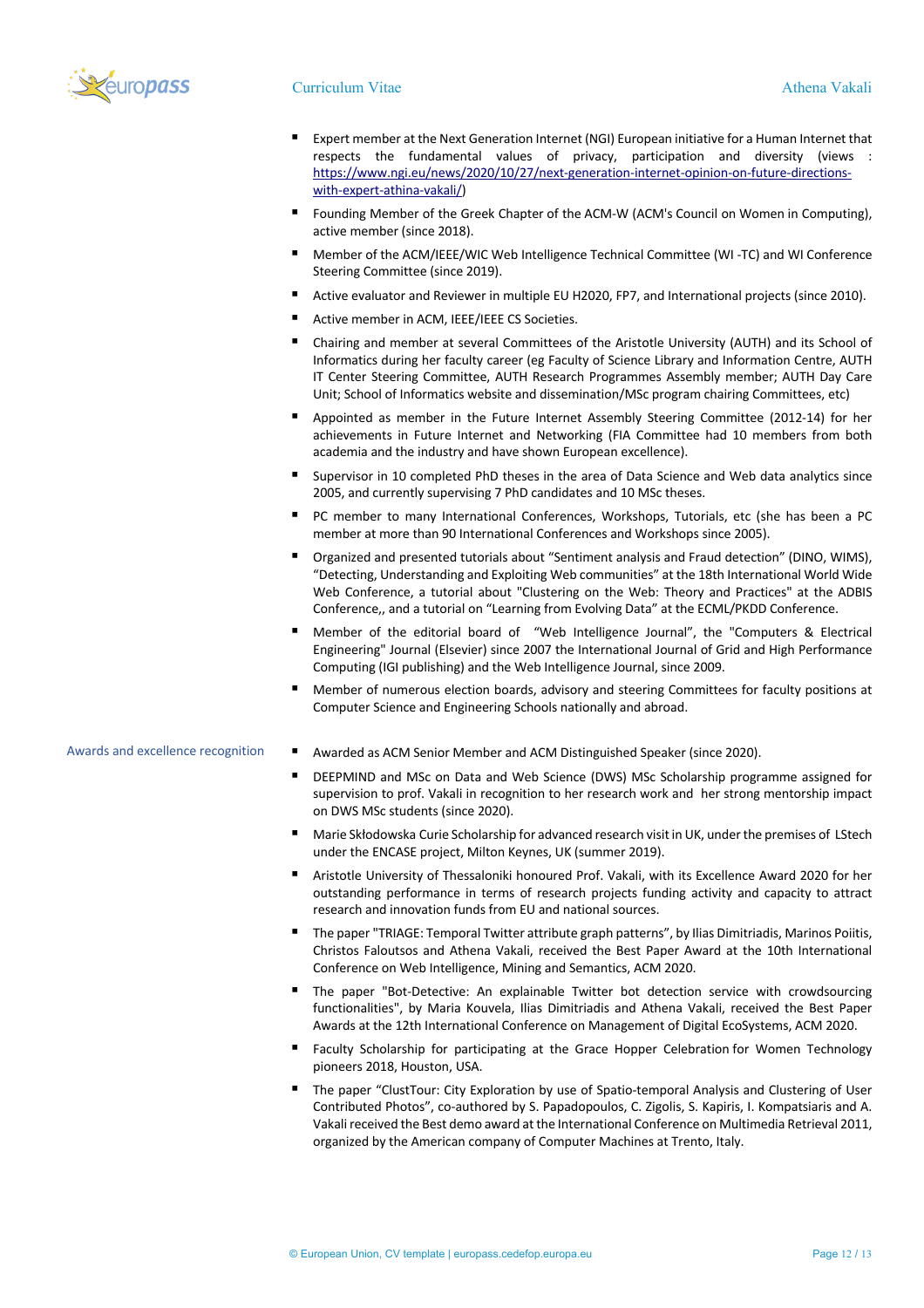

## Curriculum Vitae Athena Vakali

- Expert member at the Next Generation Internet (NGI) European initiative for a Human Internet that respects the fundamental values of privacy, participation and diversity (views : https://www.ngi.eu/news/2020/10/27/next-generation-internet-opinion-on-future-directionswith-expert-athina-vakali/)
- § Founding Member of the Greek Chapter of the ACM-W (ACM's Council on Women in Computing), active member (since 2018).
- § Member of the ACM/IEEE/WIC Web Intelligence Technical Committee (WI -TC) and WI Conference Steering Committee (since 2019).
- § Active evaluator and Reviewer in multiple EU H2020, FP7, and International projects (since 2010).
- Active member in ACM, IEEE/IEEE CS Societies.
- § Chairing and member at several Committees of the Aristotle University (AUTH) and its School of Informatics during her faculty career (eg Faculty of Science Library and Information Centre, AUTH IT Center Steering Committee, AUTH Research Programmes Assembly member; AUTH Day Care Unit; School of Informatics website and dissemination/MSc program chairing Committees, etc)
- § Appointed as member in the Future Internet Assembly Steering Committee (2012-14) for her achievements in Future Internet and Networking (FIA Committee had 10 members from both academia and the industry and have shown European excellence).
- § Supervisor in 10 completed PhD theses in the area of Data Science and Web data analytics since 2005, and currently supervising 7 PhD candidates and 10 MSc theses.
- PC member to many International Conferences, Workshops, Tutorials, etc (she has been a PC member at more than 90 International Conferences and Workshops since 2005).
- § Organized and presented tutorials about "Sentiment analysis and Fraud detection" (DINO, WIMS), "Detecting, Understanding and Exploiting Web communities" at the 18th International World Wide Web Conference, a tutorial about "Clustering on the Web: Theory and Practices" at the ADBIS Conference,, and a tutorial on "Learning from Evolving Data" at the ECML/PKDD Conference.
- § Member of the editorial board of "Web Intelligence Journal", the "Computers & Electrical Engineering" Journal (Elsevier) since 2007 the International Journal of Grid and High Performance Computing (IGI publishing) and the Web Intelligence Journal, since 2009.
- § Member of numerous election boards, advisory and steering Committees for faculty positions at Computer Science and Engineering Schools nationally and abroad.

## Awards and excellence recognition **•** Awarded as ACM Senior Member and ACM Distinguished Speaker (since 2020).

- DEEPMIND and MSc on Data and Web Science (DWS) MSc Scholarship programme assigned for supervision to prof. Vakali in recognition to her research work and her strong mentorship impact on DWS MSc students (since 2020).
- § Marie Skłodowska Curie Scholarship for advanced research visit in UK, under the premises of LStech under the ENCASE project, Milton Keynes, UK (summer 2019).
- Aristotle University of Thessaloniki honoured Prof. Vakali, with its Excellence Award 2020 for her outstanding performance in terms of research projects funding activity and capacity to attract research and innovation funds from EU and national sources.
- § The paper "TRIAGE: Temporal Twitter attribute graph patterns", by Ilias Dimitriadis, Marinos Poiitis, Christos Faloutsos and Athena Vakali, received the Best Paper Award at the 10th International Conference on Web Intelligence, Mining and Semantics, ACM 2020.
- The paper "Bot-Detective: An explainable Twitter bot detection service with crowdsourcing functionalities", by Maria Kouvela, Ilias Dimitriadis and Athena Vakali, received the Best Paper Awards at the 12th International Conference on Management of Digital EcoSystems, ACM 2020.
- § Faculty Scholarship for participating at the Grace Hopper Celebration for Women Technology pioneers 2018, Houston, USA.
- § The paper "ClustΤour: City Exploration by use of Spatio-temporal Analysis and Clustering of User Contributed Photos", co-authored by S. Papadopoulos, C. Zigolis, S. Kapiris, I. Kompatsiaris and A. Vakali received the Best demo award at the International Conference on Multimedia Retrieval 2011, organized by the American company of Computer Machines at Trento, Italy.